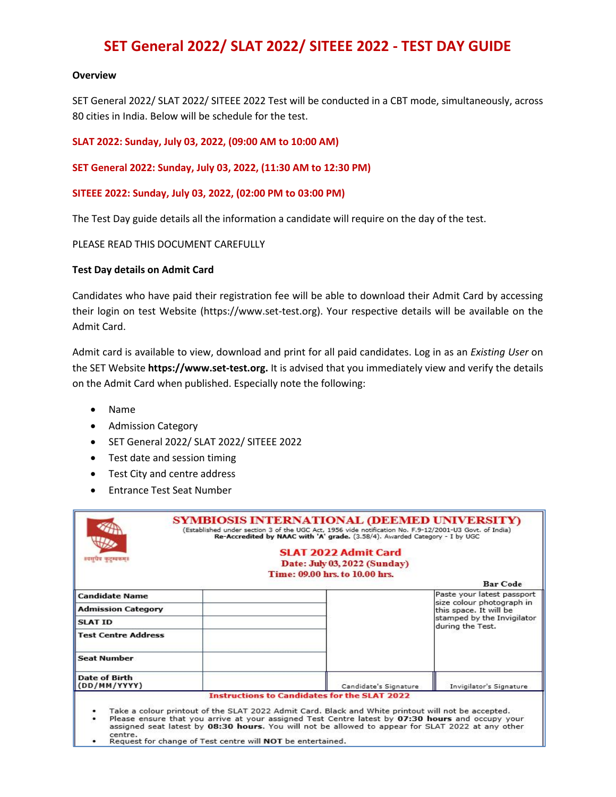# **SET General 2022/ SLAT 2022/ SITEEE 2022 - TEST DAY GUIDE**

#### **Overview**

SET General 2022/ SLAT 2022/ SITEEE 2022 Test will be conducted in a CBT mode, simultaneously, across 80 cities in India. Below will be schedule for the test.

**SLAT 2022: Sunday, July 03, 2022, (09:00 AM to 10:00 AM)**

**SET General 2022: Sunday, July 03, 2022, (11:30 AM to 12:30 PM)**

#### **SITEEE 2022: Sunday, July 03, 2022, (02:00 PM to 03:00 PM)**

The Test Day guide details all the information a candidate will require on the day of the test.

#### PLEASE READ THIS DOCUMENT CAREFULLY

#### **Test Day details on Admit Card**

Candidates who have paid their registration fee will be able to download their Admit Card by accessing their login on test Website (https://www.set-test.org). Your respective details will be available on the Admit Card.

Admit card is available to view, download and print for all paid candidates. Log in as an *Existing User* on the SET Website **https://www.set-test.org.** It is advised that you immediately view and verify the details on the Admit Card when published. Especially note the following:

- Name
- Admission Category
- SET General 2022/ SLAT 2022/ SITEEE 2022
- Test date and session timing
- Test City and centre address
- Entrance Test Seat Number

| श्यसूचेव कुट्म्बकम् ।                       | SYMBIOSIS INTERNATIONAL (DEEMED UNIVERSITY)<br>(Established under section 3 of the UGC Act, 1956 vide notification No. F.9-12/2001-U3 Govt. of India)<br>Re-Accredited by NAAC with 'A' grade. (3.58/4). Awarded Category - I by UGC<br><b>SLAT 2022 Admit Card</b><br>Date: July 03, 2022 (Sunday)<br>Time: 09.00 hrs. to 10.00 hrs.<br><b>Bar</b> Code           |
|---------------------------------------------|--------------------------------------------------------------------------------------------------------------------------------------------------------------------------------------------------------------------------------------------------------------------------------------------------------------------------------------------------------------------|
| <b>Candidate Name</b>                       | Paste your latest passport<br>size colour photograph in                                                                                                                                                                                                                                                                                                            |
| <b>Admission Category</b><br><b>SLAT ID</b> | this space. It will be<br>stamped by the Invigilator                                                                                                                                                                                                                                                                                                               |
| <b>Test Centre Address</b>                  | during the Test.                                                                                                                                                                                                                                                                                                                                                   |
| <b>Seat Number</b>                          |                                                                                                                                                                                                                                                                                                                                                                    |
| Date of Birth<br>(DD/MM/YYYY)               | Candidate's Signature<br>Invigilator's Signature                                                                                                                                                                                                                                                                                                                   |
|                                             | <b>Instructions to Candidates for the SLAT 2022</b><br>Take a colour printout of the SLAT 2022 Admit Card. Black and White printout will not be accepted.<br>Please ensure that you arrive at your assigned Test Centre latest by 07:30 hours and occupy your<br>assigned seat latest by 08:30 hours. You will not be allowed to appear for SLAT 2022 at any other |

centre.<br>Request for change of Test centre will NOT be entertained.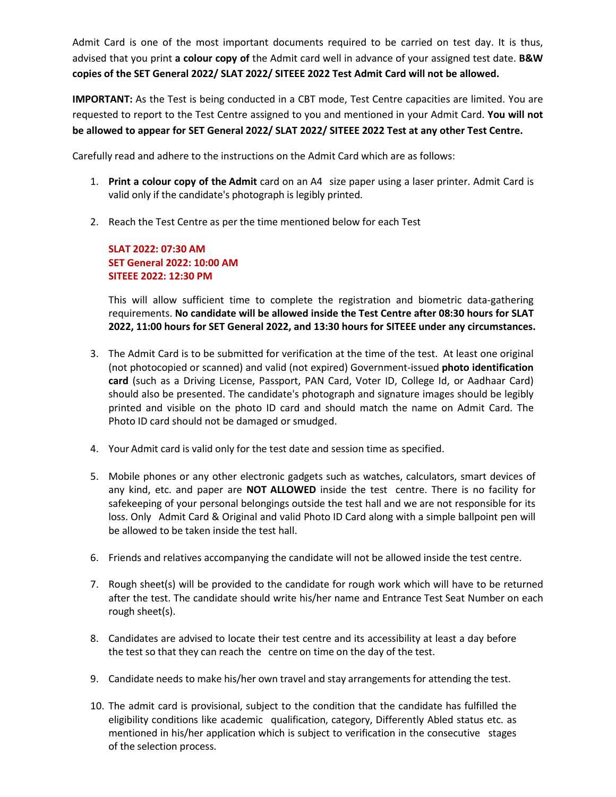Admit Card is one of the most important documents required to be carried on test day. It is thus, advised that you print **a colour copy of** the Admit card well in advance of your assigned test date. **B&W copies of the SET General 2022/ SLAT 2022/ SITEEE 2022 Test Admit Card will not be allowed.**

**IMPORTANT:** As the Test is being conducted in a CBT mode, Test Centre capacities are limited. You are requested to report to the Test Centre assigned to you and mentioned in your Admit Card. **You will not be allowed to appear for SET General 2022/ SLAT 2022/ SITEEE 2022 Test at any other Test Centre.**

Carefully read and adhere to the instructions on the Admit Card which are as follows:

- 1. **Print a colour copy of the Admit** card on an A4 size paper using a laser printer. Admit Card is valid only if the candidate's photograph is legibly printed.
- 2. Reach the Test Centre as per the time mentioned below for each Test

**SLAT 2022: 07:30 AM SET General 2022: 10:00 AM SITEEE 2022: 12:30 PM**

This will allow sufficient time to complete the registration and biometric data-gathering requirements. **No candidate will be allowed inside the Test Centre after 08:30 hours for SLAT 2022, 11:00 hours for SET General 2022, and 13:30 hours for SITEEE under any circumstances.**

- 3. The Admit Card is to be submitted for verification at the time of the test. At least one original (not photocopied or scanned) and valid (not expired) Government-issued **photo identification card** (such as a Driving License, Passport, PAN Card, Voter ID, College Id, or Aadhaar Card) should also be presented. The candidate's photograph and signature images should be legibly printed and visible on the photo ID card and should match the name on Admit Card. The Photo ID card should not be damaged or smudged.
- 4. Your Admit card is valid only for the test date and session time as specified.
- 5. Mobile phones or any other electronic gadgets such as watches, calculators, smart devices of any kind, etc. and paper are **NOT ALLOWED** inside the test centre. There is no facility for safekeeping of your personal belongings outside the test hall and we are not responsible for its loss. Only Admit Card & Original and valid Photo ID Card along with a simple ballpoint pen will be allowed to be taken inside the test hall.
- 6. Friends and relatives accompanying the candidate will not be allowed inside the test centre.
- 7. Rough sheet(s) will be provided to the candidate for rough work which will have to be returned after the test. The candidate should write his/her name and Entrance Test Seat Number on each rough sheet(s).
- 8. Candidates are advised to locate their test centre and its accessibility at least a day before the test so that they can reach the centre on time on the day of the test.
- 9. Candidate needs to make his/her own travel and stay arrangements for attending the test.
- 10. The admit card is provisional, subject to the condition that the candidate has fulfilled the eligibility conditions like academic qualification, category, Differently Abled status etc. as mentioned in his/her application which is subject to verification in the consecutive stages of the selection process.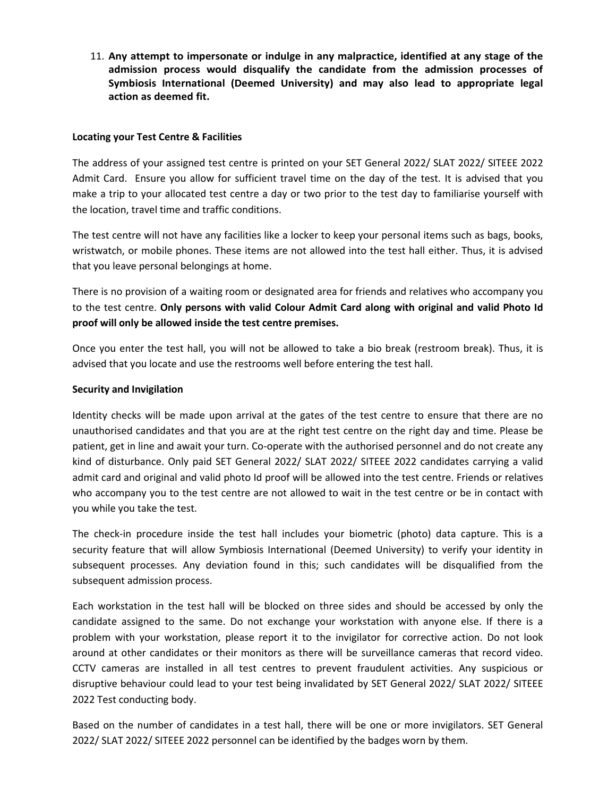11. **Any attempt to impersonate or indulge in any malpractice, identified at any stage of the admission process would disqualify the candidate from the admission processes of Symbiosis International (Deemed University) and may also lead to appropriate legal action as deemed fit.**

#### **Locating your Test Centre & Facilities**

The address of your assigned test centre is printed on your SET General 2022/ SLAT 2022/ SITEEE 2022 Admit Card. Ensure you allow for sufficient travel time on the day of the test. It is advised that you make a trip to your allocated test centre a day or two prior to the test day to familiarise yourself with the location, travel time and traffic conditions.

The test centre will not have any facilities like a locker to keep your personal items such as bags, books, wristwatch, or mobile phones. These items are not allowed into the test hall either. Thus, it is advised that you leave personal belongings at home.

There is no provision of a waiting room or designated area for friends and relatives who accompany you to the test centre. **Only persons with valid Colour Admit Card along with original and valid Photo Id proof will only be allowed inside the test centre premises.**

Once you enter the test hall, you will not be allowed to take a bio break (restroom break). Thus, it is advised that you locate and use the restrooms well before entering the test hall.

#### **Security and Invigilation**

Identity checks will be made upon arrival at the gates of the test centre to ensure that there are no unauthorised candidates and that you are at the right test centre on the right day and time. Please be patient, get in line and await your turn. Co-operate with the authorised personnel and do not create any kind of disturbance. Only paid SET General 2022/ SLAT 2022/ SITEEE 2022 candidates carrying a valid admit card and original and valid photo Id proof will be allowed into the test centre. Friends or relatives who accompany you to the test centre are not allowed to wait in the test centre or be in contact with you while you take the test.

The check-in procedure inside the test hall includes your biometric (photo) data capture. This is a security feature that will allow Symbiosis International (Deemed University) to verify your identity in subsequent processes. Any deviation found in this; such candidates will be disqualified from the subsequent admission process.

Each workstation in the test hall will be blocked on three sides and should be accessed by only the candidate assigned to the same. Do not exchange your workstation with anyone else. If there is a problem with your workstation, please report it to the invigilator for corrective action. Do not look around at other candidates or their monitors as there will be surveillance cameras that record video. CCTV cameras are installed in all test centres to prevent fraudulent activities. Any suspicious or disruptive behaviour could lead to your test being invalidated by SET General 2022/ SLAT 2022/ SITEEE 2022 Test conducting body.

Based on the number of candidates in a test hall, there will be one or more invigilators. SET General 2022/ SLAT 2022/ SITEEE 2022 personnel can be identified by the badges worn by them.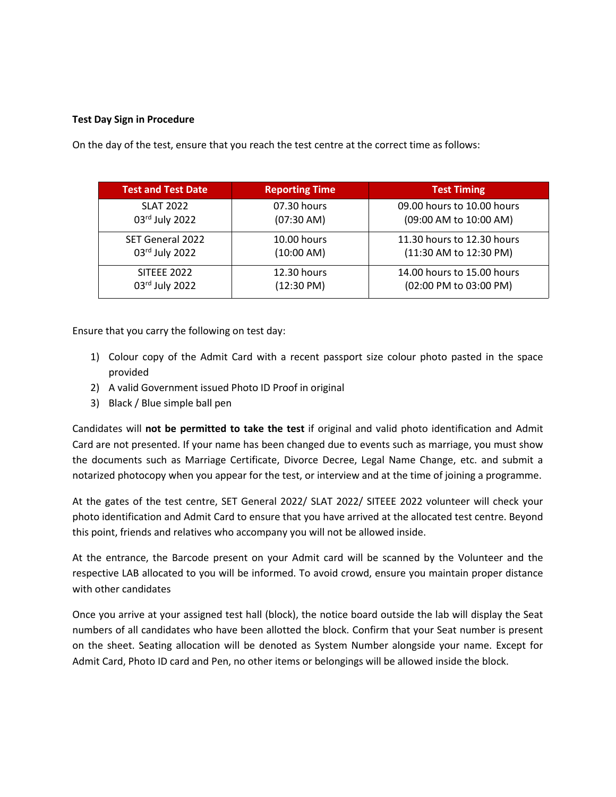## **Test Day Sign in Procedure**

On the day of the test, ensure that you reach the test centre at the correct time as follows:

| <b>Test and Test Date</b> | <b>Reporting Time</b> | <b>Test Timing</b>         |
|---------------------------|-----------------------|----------------------------|
| <b>SLAT 2022</b>          | 07.30 hours           | 09.00 hours to 10.00 hours |
| 03rd July 2022            | $(07:30 \text{ AM})$  | (09:00 AM to 10:00 AM)     |
| SET General 2022          | 10.00 hours           | 11.30 hours to 12.30 hours |
| 03rd July 2022            | $(10:00 \text{ AM})$  | (11:30 AM to 12:30 PM)     |
| <b>SITEEE 2022</b>        | 12.30 hours           | 14.00 hours to 15.00 hours |
| 03rd July 2022            | $(12:30 \text{ PM})$  | (02:00 PM to 03:00 PM)     |

Ensure that you carry the following on test day:

- 1) Colour copy of the Admit Card with a recent passport size colour photo pasted in the space provided
- 2) A valid Government issued Photo ID Proof in original
- 3) Black / Blue simple ball pen

Candidates will **not be permitted to take the test** iforiginal and valid photo identification and Admit Card are not presented. If your name has been changed due to events such as marriage, you must show the documents such as Marriage Certificate, Divorce Decree, Legal Name Change, etc. and submit a notarized photocopy when you appear for the test, or interview and at the time of joining a programme.

At the gates of the test centre, SET General 2022/ SLAT 2022/ SITEEE 2022 volunteer will check your photo identification and Admit Card to ensure that you have arrived at the allocated test centre. Beyond this point, friends and relatives who accompany you will not be allowed inside.

At the entrance, the Barcode present on your Admit card will be scanned by the Volunteer and the respective LAB allocated to you will be informed. To avoid crowd, ensure you maintain proper distance with other candidates

Once you arrive at your assigned test hall (block), the notice board outside the lab will display the Seat numbers of all candidates who have been allotted the block. Confirm that your Seat number is present on the sheet. Seating allocation will be denoted as System Number alongside your name. Except for Admit Card, Photo ID card and Pen, no other items or belongings will be allowed inside the block.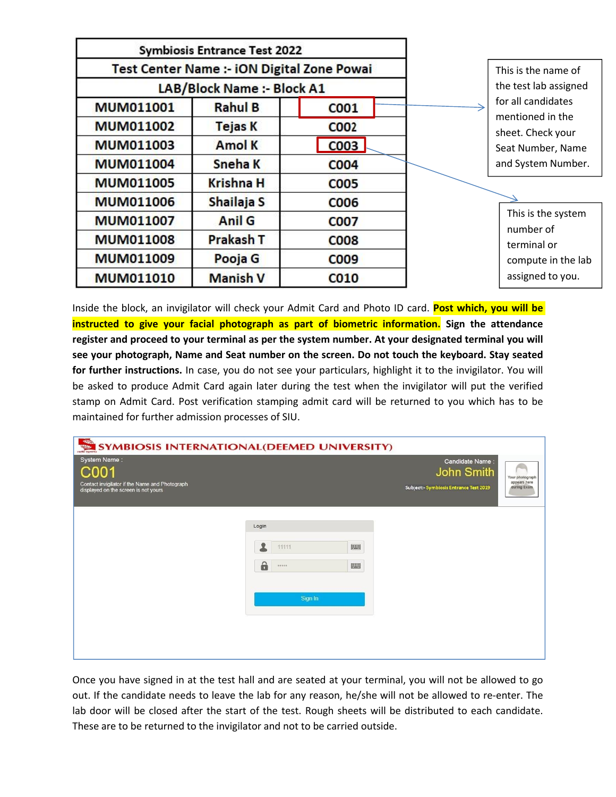|                  | <b>Symbiosis Entrance Test 2022</b> |                                            |                                        |
|------------------|-------------------------------------|--------------------------------------------|----------------------------------------|
|                  |                                     | Test Center Name :- iON Digital Zone Powai | This is the name of                    |
|                  | LAB/Block Name :- Block A1          |                                            | the test lab assigned                  |
| MUM011001        | <b>Rahul B</b>                      | <b>COO1</b>                                | for all candidates<br>mentioned in the |
| <b>MUM011002</b> | <b>Tejas K</b>                      | <b>COO2</b>                                | sheet. Check your                      |
| <b>MUM011003</b> | Amol K                              | <b>COO3</b>                                | Seat Number, Name                      |
| <b>MUM011004</b> | Sneha K                             | <b>COO4</b>                                | and System Number.                     |
| <b>MUM011005</b> | <b>Krishna H</b>                    | <b>COO5</b>                                |                                        |
| <b>MUM011006</b> | Shailaja S                          | C006                                       |                                        |
| <b>MUM011007</b> | Anil G                              | <b>COO7</b>                                | This is the system<br>number of        |
| <b>MUM011008</b> | <b>Prakash T</b>                    | <b>COO8</b>                                | terminal or                            |
| <b>MUM011009</b> | Pooja G                             | C009                                       | compute in the lab                     |
| <b>MUM011010</b> | <b>Manish V</b>                     | <b>CO10</b>                                | assigned to you.                       |

Inside the block, an invigilator will check your Admit Card and Photo ID card. **Post which, you will be instructed to give your facial photograph as part of biometric information. Sign the attendance register and proceed to your terminal as per the system number. At your designated terminal you will see your photograph, Name and Seat number on the screen. Do not touch the keyboard.Stay seated for further instructions.** In case, you do not see your particulars, highlight it to the invigilator. You will be asked to produce Admit Card again later during the test when the invigilator will put the verified stamp on Admit Card. Post verification stamping admit card will be returned to you which has to be maintained for further admission processes of SIU.



Once you have signed in at the test hall and are seated at your terminal, you will not be allowed to go out. If the candidate needs to leave the lab for any reason, he/she will not be allowed to re-enter. The lab door will be closed after the start of the test. Rough sheets will be distributed to each candidate. These are to be returned to the invigilator and not to be carried outside.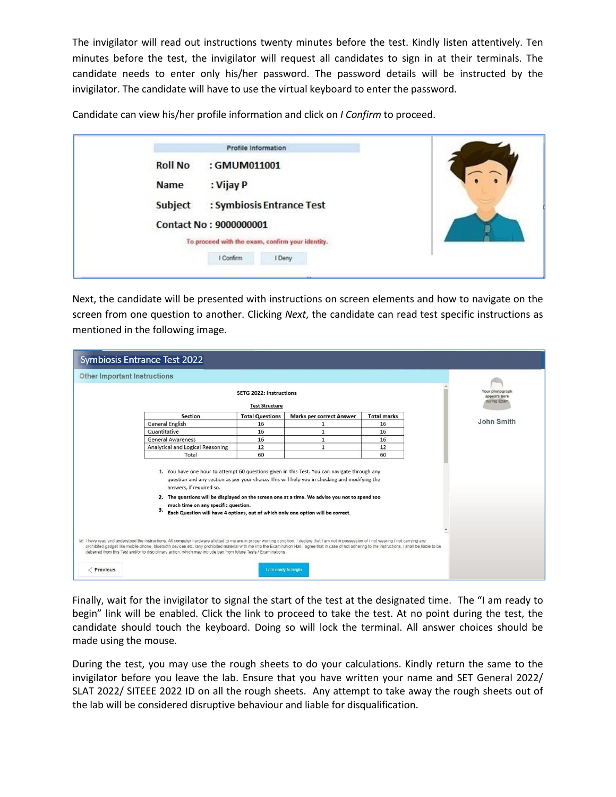The invigilator will read out instructions twenty minutes before the test. Kindly listen attentively. Ten minutes before the test, the invigilator will request all candidates to sign in at their terminals. The candidate needs to enter only his/her password. The password details will be instructed by the invigilator. The candidate will have to use the virtual keyboard to enter the password.

Candidate can view his/her profile information and click on *I Confirm* to proceed.

|                | Profile Information                              |  |
|----------------|--------------------------------------------------|--|
| <b>Roll No</b> | : GMUM011001                                     |  |
| Name           | : Vijay P                                        |  |
| Subject        | : Symbiosis Entrance Test                        |  |
|                | Contact No: 9000000001                           |  |
|                | To proceed with the exam, confirm your identity. |  |
|                | I Confirm<br>I Deny                              |  |

Next, the candidate will be presented with instructions on screen elements and how to navigate on the screen from one question to another. Clicking *Next*, the candidate can read test specific instructions as mentioned in the following image.

|                              | <b>Symbiosis Entrance Test 2022</b>                                                                                                                                                                                                                                                                                                                                                                                                                                                                                                                                                                                                                                                                                                                                                                                                                                                       |                                                         |                                                                                               |                    |                                                |  |
|------------------------------|-------------------------------------------------------------------------------------------------------------------------------------------------------------------------------------------------------------------------------------------------------------------------------------------------------------------------------------------------------------------------------------------------------------------------------------------------------------------------------------------------------------------------------------------------------------------------------------------------------------------------------------------------------------------------------------------------------------------------------------------------------------------------------------------------------------------------------------------------------------------------------------------|---------------------------------------------------------|-----------------------------------------------------------------------------------------------|--------------------|------------------------------------------------|--|
| Other Important Instructions |                                                                                                                                                                                                                                                                                                                                                                                                                                                                                                                                                                                                                                                                                                                                                                                                                                                                                           |                                                         |                                                                                               |                    |                                                |  |
|                              |                                                                                                                                                                                                                                                                                                                                                                                                                                                                                                                                                                                                                                                                                                                                                                                                                                                                                           | <b>SETG 2022: Instructions</b><br><b>Test Structure</b> |                                                                                               |                    | Your photograph<br>appears here<br>during Exam |  |
|                              | <b>Section</b>                                                                                                                                                                                                                                                                                                                                                                                                                                                                                                                                                                                                                                                                                                                                                                                                                                                                            | <b>Total Questions</b>                                  | <b>Marks per correct Answer</b>                                                               | <b>Total marks</b> |                                                |  |
|                              | <b>General English</b>                                                                                                                                                                                                                                                                                                                                                                                                                                                                                                                                                                                                                                                                                                                                                                                                                                                                    | 16                                                      |                                                                                               | 16                 | John Smith                                     |  |
|                              | Quantitative                                                                                                                                                                                                                                                                                                                                                                                                                                                                                                                                                                                                                                                                                                                                                                                                                                                                              | 16                                                      | 1                                                                                             | 16                 |                                                |  |
|                              | <b>General Awareness</b>                                                                                                                                                                                                                                                                                                                                                                                                                                                                                                                                                                                                                                                                                                                                                                                                                                                                  | 16                                                      | $\mathbf{1}$                                                                                  | 16                 |                                                |  |
|                              | Analytical and Logical Reasoning                                                                                                                                                                                                                                                                                                                                                                                                                                                                                                                                                                                                                                                                                                                                                                                                                                                          | 12                                                      | $\mathbf{1}$                                                                                  | 12                 |                                                |  |
|                              | Total                                                                                                                                                                                                                                                                                                                                                                                                                                                                                                                                                                                                                                                                                                                                                                                                                                                                                     | 60                                                      |                                                                                               | 60                 |                                                |  |
| Previous                     | 1. You have one hour to attempt 60 questions given in this Test. You can navigate through any<br>answers, if required so.<br>2. The questions will be displayed on the screen one at a time. We advise you not to spend too<br>much time on any specific question.<br>з.<br>Each Question will have 4 options, out of which only one option will be correct.<br>I have read and understood the instructions. All computer hardware allotted to me are in proper working condition. I declare that I am not in possession of / not wearing / not carrying any<br>prohibited gadget like mobile phone, bluetooth devices etc. /any prohibited material with me into the Examination Hall.I agree that in case of not adhering to the instructions, I shall be liable to be<br>debarred from this Test and/or to disciplinary action, which may include ban from future Tests / Examinations | I am ready to begin                                     | question and any section as per your choice. This will help you in checking and modifying the |                    |                                                |  |

Finally, wait for the invigilator to signal the start of the test at the designated time. The "I am ready to begin" link will be enabled. Click the link to proceed to take the test. At no point during the test, the candidate should touch the keyboard. Doing so will lock the terminal. All answer choices should be made using the mouse.

During the test, you may use the rough sheets to do your calculations. Kindly return the same to the invigilator before you leave the lab. Ensure that you have written your name and SET General 2022/ SLAT 2022/ SITEEE 2022 ID on all the rough sheets. Any attempt to take away the rough sheets out of the lab will be considered disruptive behaviour and liable for disqualification.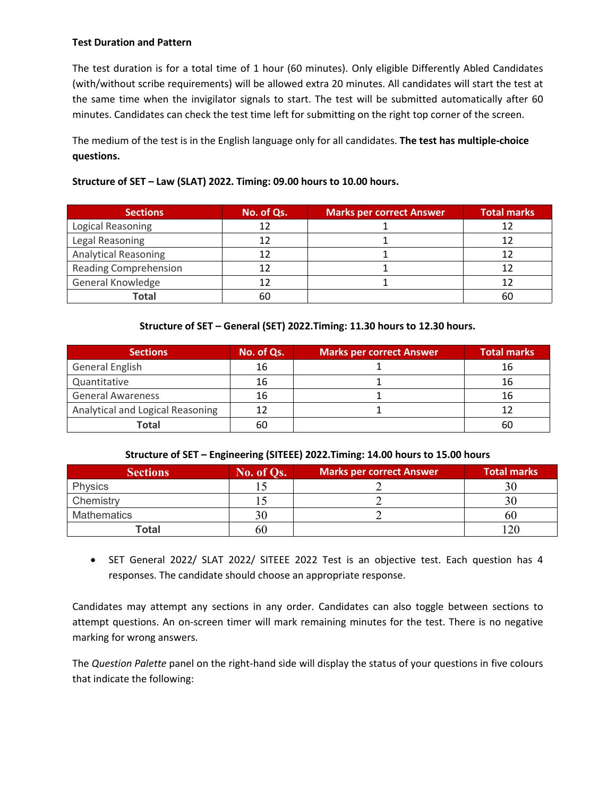## **Test Duration and Pattern**

The test duration is for a total time of 1 hour (60 minutes). Only eligible Differently Abled Candidates (with/without scribe requirements) will be allowed extra 20 minutes. All candidates will start the test at the same time when the invigilator signals to start. The test will be submitted automatically after 60 minutes. Candidates can check the test time left for submitting on the right top corner of the screen.

The medium of the test is in the English language only for all candidates. **The test has multiple-choice questions.**

| Structure of SET - Law (SLAT) 2022. Timing: 09.00 hours to 10.00 hours. |  |
|-------------------------------------------------------------------------|--|
|                                                                         |  |

| <b>Sections</b>              | No. of Qs. | Marks per correct Answer | <b>Total marks</b> |
|------------------------------|------------|--------------------------|--------------------|
| Logical Reasoning            |            |                          |                    |
| Legal Reasoning              |            |                          |                    |
| <b>Analytical Reasoning</b>  |            |                          |                    |
| <b>Reading Comprehension</b> |            |                          |                    |
| General Knowledge            |            |                          |                    |
| <b>Total</b>                 | 60         |                          | 60                 |

## **Structure of SET – General (SET) 2022.Timing: 11.30 hours to 12.30 hours.**

| <b>Sections</b>                  | No. of Qs. | <b>Marks per correct Answer</b> | <b>Total marks</b> |
|----------------------------------|------------|---------------------------------|--------------------|
| <b>General English</b>           | 16         |                                 | 16                 |
| Quantitative                     | 16         |                                 | 16                 |
| <b>General Awareness</b>         | 16         |                                 | 16                 |
| Analytical and Logical Reasoning | 12         |                                 |                    |
| <b>Total</b>                     | 60         |                                 | 60                 |

## **Structure of SET – Engineering (SITEEE) 2022.Timing: 14.00 hours to 15.00 hours**

| <b>Sections</b> | No. of Qs. | Marks per correct Answer | <b>Total marks</b> |
|-----------------|------------|--------------------------|--------------------|
| <b>Physics</b>  |            |                          | 30                 |
| Chemistry       |            |                          |                    |
| Mathematics     |            |                          | 60                 |
| <b>Total</b>    | 60         |                          | 20                 |

 SET General 2022/ SLAT 2022/ SITEEE 2022 Test is an objective test. Each question has 4 responses. The candidate should choose an appropriate response.

Candidates may attempt any sections in any order. Candidates can also toggle between sections to attempt questions. An on-screen timer will mark remaining minutes for the test. There is no negative marking for wrong answers.

The *Question Palette* panel on the right-hand side will display the status of your questions in five colours that indicate the following: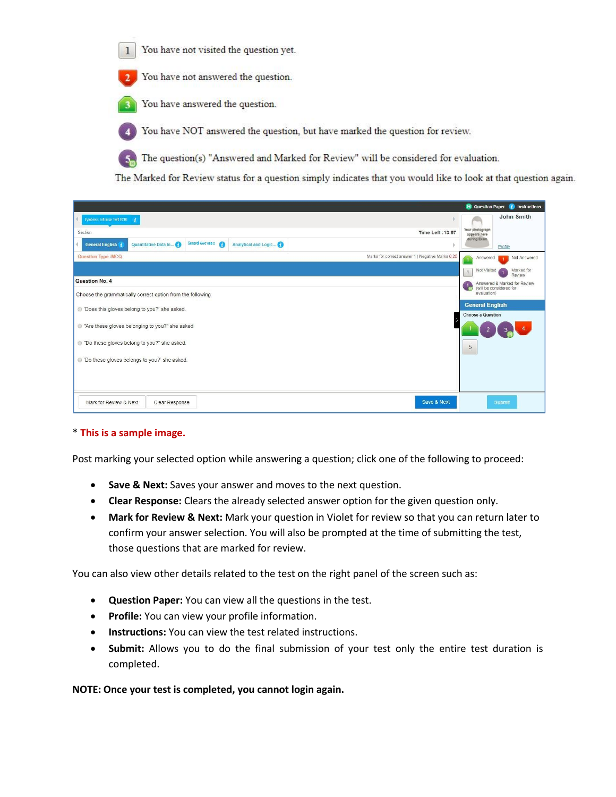You have not visited the question yet.  $1$ 

You have not answered the question.

You have answered the question.

You have NOT answered the question, but have marked the question for review.

The question(s) "Answered and Marked for Review" will be considered for evaluation.  $5<sub>n</sub>$ 

The Marked for Review status for a question simply indicates that you would like to look at that question again.

|                                                                                               | <b>El</b> Question Paper <b>i</b> Instructions                                |
|-----------------------------------------------------------------------------------------------|-------------------------------------------------------------------------------|
| Symbiosis Entrance Test 2018                                                                  | John Smith                                                                    |
| Time Left : 13:57<br>Section                                                                  | Your photograph<br>appears here                                               |
| General Awareness (<br>Quantitative Data In<br>Analytical and Logic<br><b>General English</b> | during Exam.<br>Profile                                                       |
| <b>Question Type:MCQ</b><br>Marks for correct answer 1   Negative Marks 0.25                  | Not Answered<br>Answered<br>$\overline{1}$                                    |
|                                                                                               | Marked for<br>Not Visited<br>$\mathbf{1}$<br>Review                           |
| Question No. 4                                                                                | Answered & Marked for Review<br>$\frac{1}{\alpha}$<br>(will be considered for |
| Choose the grammatically correct option from the following                                    | evaluation)                                                                   |
| © 'Does this gloves belong to you?' she asked.                                                | <b>General English</b><br><b>Choose a Question</b>                            |
| ◎ "Are these gloves belonging to you?" she asked                                              |                                                                               |
| © "Do these gloves belong to you?" she asked.                                                 | 5                                                                             |
| © 'Do these gloves belongs to you?' she asked.                                                |                                                                               |
|                                                                                               |                                                                               |
|                                                                                               |                                                                               |
| Save & Next<br>Mark for Review & Next<br>Clear Response                                       | Submit                                                                        |

## \* **Thisis a sample image.**

Post marking your selected option while answering a question; click one of the following to proceed:

- **Save & Next:** Saves your answer and moves to the next question.
- **Clear Response:** Clears the already selected answer option for the given question only.
- **Mark for Review & Next:** Mark your question in Violet for review so that you can return later to confirm your answer selection. You will also be prompted at the time of submitting the test, those questions that are marked for review.

You can also view other details related to the test on the right panel of the screen such as:

- **Question Paper:** You can view all the questions in the test.
- **Profile:** You can view your profile information.
- **Instructions:** You can view the test related instructions.
- **Submit:** Allows you to do the final submission of your test only the entire test duration is completed.

#### **NOTE: Once your test is completed, you cannot login again.**